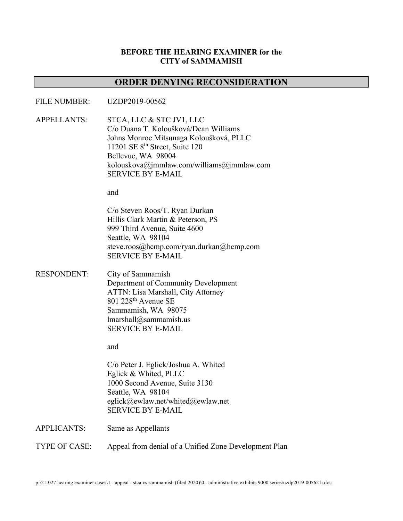# **BEFORE THE HEARING EXAMINER for the CITY of SAMMAMISH**

# **ORDER DENYING RECONSIDERATION**

#### FILE NUMBER: UZDP2019-00562

APPELLANTS: STCA, LLC & STC JV1, LLC C/o Duana T. Koloušková/Dean Williams Johns Monroe Mitsunaga Koloušková, PLLC 11201 SE 8th Street, Suite 120 Bellevue, WA 98004 kolouskova@jmmlaw.com/williams@jmmlaw.com SERVICE BY E-MAIL

and

C/o Steven Roos/T. Ryan Durkan Hillis Clark Martin & Peterson, PS 999 Third Avenue, Suite 4600 Seattle, WA 98104 steve.roos@hcmp.com/ryan.durkan@hcmp.com SERVICE BY E-MAIL

RESPONDENT: City of Sammamish Department of Community Development ATTN: Lisa Marshall, City Attorney  $801$  228<sup>th</sup> Avenue SE Sammamish, WA 98075 lmarshall@sammamish.us SERVICE BY E-MAIL

and

C/o Peter J. Eglick/Joshua A. Whited Eglick & Whited, PLLC 1000 Second Avenue, Suite 3130 Seattle, WA 98104 eglick@ewlaw.net/whited@ewlaw.net SERVICE BY E-MAIL

APPLICANTS: Same as Appellants

TYPE OF CASE: Appeal from denial of a Unified Zone Development Plan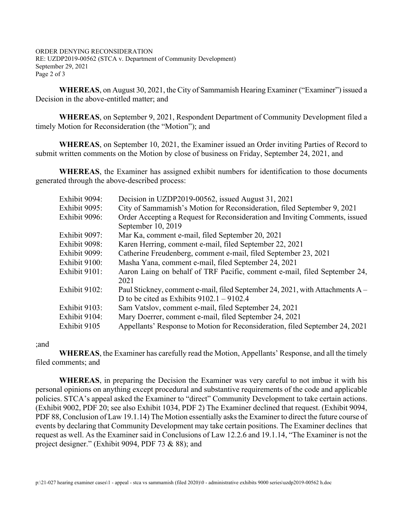ORDER DENYING RECONSIDERATION RE: UZDP2019-00562 (STCA v. Department of Community Development) September 29, 2021 Page 2 of 3

**WHEREAS**, on August 30, 2021, the City of Sammamish Hearing Examiner ("Examiner") issued a Decision in the above-entitled matter; and

**WHEREAS**, on September 9, 2021, Respondent Department of Community Development filed a timely Motion for Reconsideration (the "Motion"); and

**WHEREAS**, on September 10, 2021, the Examiner issued an Order inviting Parties of Record to submit written comments on the Motion by close of business on Friday, September 24, 2021, and

**WHEREAS**, the Examiner has assigned exhibit numbers for identification to those documents generated through the above-described process:

| Exhibit 9094: | Decision in UZDP2019-00562, issued August 31, 2021                            |
|---------------|-------------------------------------------------------------------------------|
| Exhibit 9095: | City of Sammamish's Motion for Reconsideration, filed September 9, 2021       |
| Exhibit 9096: | Order Accepting a Request for Reconsideration and Inviting Comments, issued   |
|               | September 10, 2019                                                            |
| Exhibit 9097: | Mar Ka, comment e-mail, filed September 20, 2021                              |
| Exhibit 9098: | Karen Herring, comment e-mail, filed September 22, 2021                       |
| Exhibit 9099: | Catherine Freudenberg, comment e-mail, filed September 23, 2021               |
| Exhibit 9100: | Masha Yana, comment e-mail, filed September 24, 2021                          |
| Exhibit 9101: | Aaron Laing on behalf of TRF Pacific, comment e-mail, filed September 24,     |
|               | 2021                                                                          |
| Exhibit 9102: | Paul Stickney, comment e-mail, filed September 24, 2021, with Attachments A - |
|               | D to be cited as Exhibits $9102.1 - 9102.4$                                   |
| Exhibit 9103: | Sam Vatslov, comment e-mail, filed September 24, 2021                         |
| Exhibit 9104: | Mary Doerrer, comment e-mail, filed September 24, 2021                        |
| Exhibit 9105  | Appellants' Response to Motion for Reconsideration, filed September 24, 2021  |

### ;and

**WHEREAS**, the Examiner has carefully read the Motion, Appellants' Response, and all the timely filed comments; and

**WHEREAS**, in preparing the Decision the Examiner was very careful to not imbue it with his personal opinions on anything except procedural and substantive requirements of the code and applicable policies. STCA's appeal asked the Examiner to "direct" Community Development to take certain actions. (Exhibit 9002, PDF 20; see also Exhibit 1034, PDF 2) The Examiner declined that request. (Exhibit 9094, PDF 88, Conclusion of Law 19.1.14) The Motion essentially asks the Examiner to direct the future course of events by declaring that Community Development may take certain positions. The Examiner declines that request as well. As the Examiner said in Conclusions of Law 12.2.6 and 19.1.14, "The Examiner is not the project designer." (Exhibit 9094, PDF 73 & 88); and